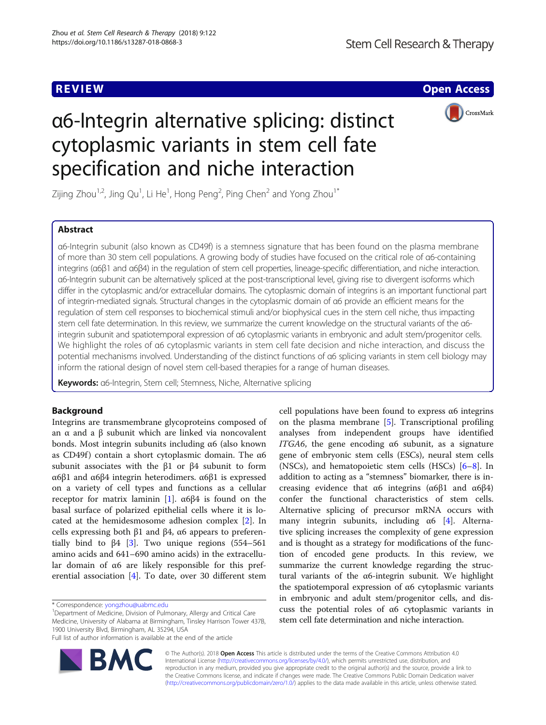**REVIEW ACCESS AND LOCAL CONTRACT CONTRACT OF ACCESS** 



# α6-Integrin alternative splicing: distinct cytoplasmic variants in stem cell fate specification and niche interaction

Zijing Zhou $^{1,2}$ , Jing Qu $^{1}$ , Li He $^{1}$ , Hong Peng $^{2}$ , Ping Chen $^{2}$  and Yong Zhou $^{1^{\ast}}$ 

# Abstract

α6-Integrin subunit (also known as CD49f) is a stemness signature that has been found on the plasma membrane of more than 30 stem cell populations. A growing body of studies have focused on the critical role of α6-containing integrins (α6β1 and α6β4) in the regulation of stem cell properties, lineage-specific differentiation, and niche interaction. α6-Integrin subunit can be alternatively spliced at the post-transcriptional level, giving rise to divergent isoforms which differ in the cytoplasmic and/or extracellular domains. The cytoplasmic domain of integrins is an important functional part of integrin-mediated signals. Structural changes in the cytoplasmic domain of α6 provide an efficient means for the regulation of stem cell responses to biochemical stimuli and/or biophysical cues in the stem cell niche, thus impacting stem cell fate determination. In this review, we summarize the current knowledge on the structural variants of the α6 integrin subunit and spatiotemporal expression of α6 cytoplasmic variants in embryonic and adult stem/progenitor cells. We highlight the roles of α6 cytoplasmic variants in stem cell fate decision and niche interaction, and discuss the potential mechanisms involved. Understanding of the distinct functions of α6 splicing variants in stem cell biology may inform the rational design of novel stem cell-based therapies for a range of human diseases.

Keywords: α6-Integrin, Stem cell; Stemness, Niche, Alternative splicing

# Background

Integrins are transmembrane glycoproteins composed of an α and a β subunit which are linked via noncovalent bonds. Most integrin subunits including α6 (also known as CD49f) contain a short cytoplasmic domain. The α6 subunit associates with the β1 or β4 subunit to form α6β1 and α6β4 integrin heterodimers. α6β1 is expressed on a variety of cell types and functions as a cellular receptor for matrix laminin [[1](#page-5-0)].  $\alpha$ 6β4 is found on the basal surface of polarized epithelial cells where it is located at the hemidesmosome adhesion complex [\[2](#page-5-0)]. In cells expressing both  $β1$  and  $β4$ ,  $α6$  appears to preferentially bind to  $\beta$ 4 [[3\]](#page-5-0). Two unique regions (554–561 amino acids and 641–690 amino acids) in the extracellular domain of α6 are likely responsible for this preferential association [\[4](#page-5-0)]. To date, over 30 different stem

<sup>1</sup>Department of Medicine, Division of Pulmonary, Allergy and Critical Care Medicine, University of Alabama at Birmingham, Tinsley Harrison Tower 437B, 1900 University Blvd, Birmingham, AL 35294, USA Full list of author information is available at the end of the article



© The Author(s). 2018 Open Access This article is distributed under the terms of the Creative Commons Attribution 4.0 International License [\(http://creativecommons.org/licenses/by/4.0/](http://creativecommons.org/licenses/by/4.0/)), which permits unrestricted use, distribution, and reproduction in any medium, provided you give appropriate credit to the original author(s) and the source, provide a link to the Creative Commons license, and indicate if changes were made. The Creative Commons Public Domain Dedication waiver [\(http://creativecommons.org/publicdomain/zero/1.0/](http://creativecommons.org/publicdomain/zero/1.0/)) applies to the data made available in this article, unless otherwise stated.

<sup>\*</sup> Correspondence: [yongzhou@uabmc.edu](mailto:yongzhou@uabmc.edu) <sup>1</sup>

cell populations have been found to express α6 integrins on the plasma membrane [[5\]](#page-5-0). Transcriptional profiling analyses from independent groups have identified ITGA6, the gene encoding α6 subunit, as a signature gene of embryonic stem cells (ESCs), neural stem cells (NSCs), and hematopoietic stem cells (HSCs) [[6](#page-5-0)–[8](#page-5-0)]. In addition to acting as a "stemness" biomarker, there is increasing evidence that  $\alpha$ 6 integrins ( $\alpha$ 6β1 and  $\alpha$ 6β4) confer the functional characteristics of stem cells. Alternative splicing of precursor mRNA occurs with many integrin subunits, including  $\alpha$ 6 [\[4](#page-5-0)]. Alternative splicing increases the complexity of gene expression and is thought as a strategy for modifications of the function of encoded gene products. In this review, we summarize the current knowledge regarding the structural variants of the α6-integrin subunit. We highlight the spatiotemporal expression of α6 cytoplasmic variants in embryonic and adult stem/progenitor cells, and discuss the potential roles of α6 cytoplasmic variants in stem cell fate determination and niche interaction.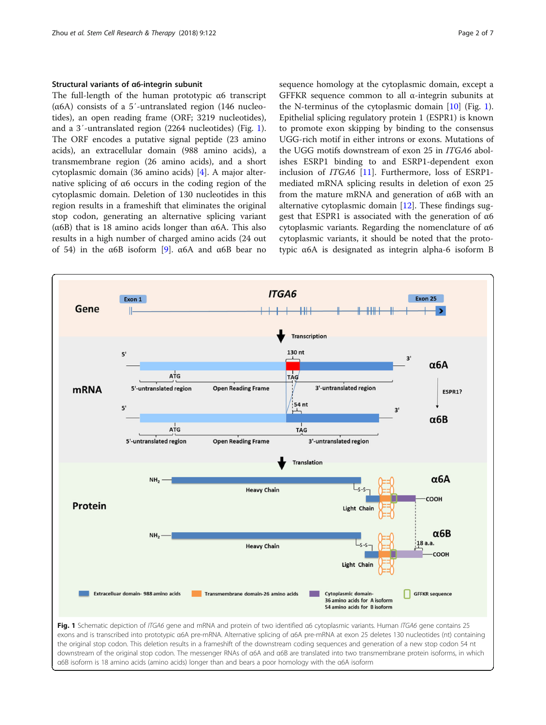<span id="page-1-0"></span>The full-length of the human prototypic α6 transcript (α6A) consists of a 5′-untranslated region (146 nucleotides), an open reading frame (ORF; 3219 nucleotides), and a 3′-untranslated region (2264 nucleotides) (Fig. 1). The ORF encodes a putative signal peptide (23 amino acids), an extracellular domain (988 amino acids), a transmembrane region (26 amino acids), and a short cytoplasmic domain (36 amino acids) [[4\]](#page-5-0). A major alternative splicing of α6 occurs in the coding region of the cytoplasmic domain. Deletion of 130 nucleotides in this region results in a frameshift that eliminates the original stop codon, generating an alternative splicing variant (α6B) that is 18 amino acids longer than α6A. This also results in a high number of charged amino acids (24 out of 54) in the α6B isoform [[9\]](#page-5-0). α6A and α6B bear no sequence homology at the cytoplasmic domain, except a GFFKR sequence common to all α-integrin subunits at the N-terminus of the cytoplasmic domain [\[10](#page-5-0)] (Fig. 1). Epithelial splicing regulatory protein 1 (ESPR1) is known to promote exon skipping by binding to the consensus UGG-rich motif in either introns or exons. Mutations of the UGG motifs downstream of exon 25 in ITGA6 abolishes ESRP1 binding to and ESRP1-dependent exon inclusion of ITGA6 [[11\]](#page-5-0). Furthermore, loss of ESRP1 mediated mRNA splicing results in deletion of exon 25 from the mature mRNA and generation of α6B with an alternative cytoplasmic domain [\[12](#page-5-0)]. These findings suggest that ESPR1 is associated with the generation of α6 cytoplasmic variants. Regarding the nomenclature of α6 cytoplasmic variants, it should be noted that the prototypic α6A is designated as integrin alpha-6 isoform B



exons and is transcribed into prototypic α6A pre-mRNA. Alternative splicing of α6A pre-mRNA at exon 25 deletes 130 nucleotides (nt) containing the original stop codon. This deletion results in a frameshift of the downstream coding sequences and generation of a new stop codon 54 nt downstream of the original stop codon. The messenger RNAs of α6A and α6B are translated into two transmembrane protein isoforms, in which α6B isoform is 18 amino acids (amino acids) longer than and bears a poor homology with the α6A isoform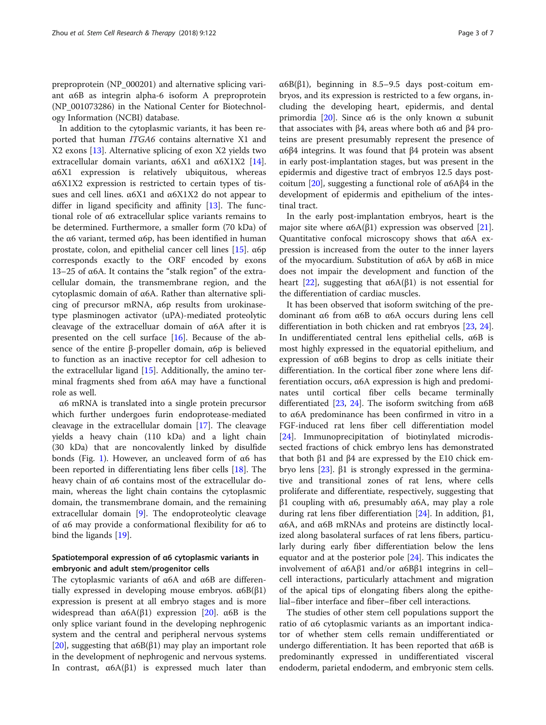preproprotein (NP\_000201) and alternative splicing variant α6B as integrin alpha-6 isoform A preproprotein (NP\_001073286) in the National Center for Biotechnology Information (NCBI) database.

In addition to the cytoplasmic variants, it has been reported that human ITGA6 contains alternative X1 and X2 exons [[13\]](#page-5-0). Alternative splicing of exon X2 yields two extracellular domain variants,  $\alpha$ 6X1 and  $\alpha$ 6X1X2 [\[14](#page-5-0)]. α6X1 expression is relatively ubiquitous, whereas α6X1X2 expression is restricted to certain types of tissues and cell lines. α6X1 and α6X1X2 do not appear to differ in ligand specificity and affinity [[13\]](#page-5-0). The functional role of α6 extracellular splice variants remains to be determined. Furthermore, a smaller form (70 kDa) of the α6 variant, termed α6p, has been identified in human prostate, colon, and epithelial cancer cell lines [\[15](#page-5-0)]. α6p corresponds exactly to the ORF encoded by exons 13–25 of α6A. It contains the "stalk region" of the extracellular domain, the transmembrane region, and the cytoplasmic domain of α6A. Rather than alternative splicing of precursor mRNA, α6p results from urokinasetype plasminogen activator (uPA)-mediated proteolytic cleavage of the extracelluar domain of α6A after it is presented on the cell surface  $[16]$  $[16]$ . Because of the absence of the entire β-propeller domain, α6p is believed to function as an inactive receptor for cell adhesion to the extracellular ligand [\[15](#page-5-0)]. Additionally, the amino terminal fragments shed from α6A may have a functional role as well.

α6 mRNA is translated into a single protein precursor which further undergoes furin endoprotease-mediated cleavage in the extracellular domain [[17\]](#page-5-0). The cleavage yields a heavy chain (110 kDa) and a light chain (30 kDa) that are noncovalently linked by disulfide bonds (Fig. [1](#page-1-0)). However, an uncleaved form of  $α6$  has been reported in differentiating lens fiber cells [[18\]](#page-5-0). The heavy chain of α6 contains most of the extracellular domain, whereas the light chain contains the cytoplasmic domain, the transmembrane domain, and the remaining extracellular domain [\[9](#page-5-0)]. The endoproteolytic cleavage of α6 may provide a conformational flexibility for α6 to bind the ligands [[19](#page-5-0)].

# Spatiotemporal expression of α6 cytoplasmic variants in embryonic and adult stem/progenitor cells

The cytoplasmic variants of  $α6A$  and  $α6B$  are differentially expressed in developing mouse embryos.  $\alpha$ 6B(β1) expression is present at all embryo stages and is more widespread than  $\alpha$ 6A(β1) expression [\[20](#page-6-0)].  $\alpha$ 6B is the only splice variant found in the developing nephrogenic system and the central and peripheral nervous systems [[20\]](#page-6-0), suggesting that  $α6B(β1)$  may play an important role in the development of nephrogenic and nervous systems. In contrast,  $\alpha$ 6A(β1) is expressed much later than  $\alpha$ 6B( $\beta$ 1), beginning in 8.5–9.5 days post-coitum embryos, and its expression is restricted to a few organs, including the developing heart, epidermis, and dental primordia  $[20]$  $[20]$ . Since α6 is the only known α subunit that associates with β4, areas where both α6 and β4 proteins are present presumably represent the presence of α6β4 integrins. It was found that β4 protein was absent in early post-implantation stages, but was present in the epidermis and digestive tract of embryos 12.5 days post-coitum [[20](#page-6-0)], suggesting a functional role of  $\alpha$ 6Aβ4 in the development of epidermis and epithelium of the intestinal tract.

In the early post-implantation embryos, heart is the major site where  $α6A(β1)$  expression was observed [\[21](#page-6-0)]. Quantitative confocal microscopy shows that α6A expression is increased from the outer to the inner layers of the myocardium. Substitution of α6A by α6B in mice does not impair the development and function of the heart [\[22](#page-6-0)], suggesting that  $α6A(β1)$  is not essential for the differentiation of cardiac muscles.

It has been observed that isoform switching of the predominant α6 from α6B to α6A occurs during lens cell differentiation in both chicken and rat embryos [\[23,](#page-6-0) [24](#page-6-0)]. In undifferentiated central lens epithelial cells, α6B is most highly expressed in the equatorial epithelium, and expression of α6B begins to drop as cells initiate their differentiation. In the cortical fiber zone where lens differentiation occurs, α6A expression is high and predominates until cortical fiber cells became terminally differentiated [\[23,](#page-6-0) [24\]](#page-6-0). The isoform switching from  $\alpha$ 6B to α6A predominance has been confirmed in vitro in a FGF-induced rat lens fiber cell differentiation model [[24\]](#page-6-0). Immunoprecipitation of biotinylated microdissected fractions of chick embryo lens has demonstrated that both β1 and β4 are expressed by the E10 chick embryo lens [\[23\]](#page-6-0). β1 is strongly expressed in the germinative and transitional zones of rat lens, where cells proliferate and differentiate, respectively, suggesting that  $β1$  coupling with α6, presumably α6A, may play a role during rat lens fiber differentiation [\[24](#page-6-0)]. In addition, β1, α6A, and α6B mRNAs and proteins are distinctly localized along basolateral surfaces of rat lens fibers, particularly during early fiber differentiation below the lens equator and at the posterior pole [\[24](#page-6-0)]. This indicates the involvement of α6Aβ1 and/or α6Bβ1 integrins in cell– cell interactions, particularly attachment and migration of the apical tips of elongating fibers along the epithelial–fiber interface and fiber–fiber cell interactions.

The studies of other stem cell populations support the ratio of α6 cytoplasmic variants as an important indicator of whether stem cells remain undifferentiated or undergo differentiation. It has been reported that α6B is predominantly expressed in undifferentiated visceral endoderm, parietal endoderm, and embryonic stem cells.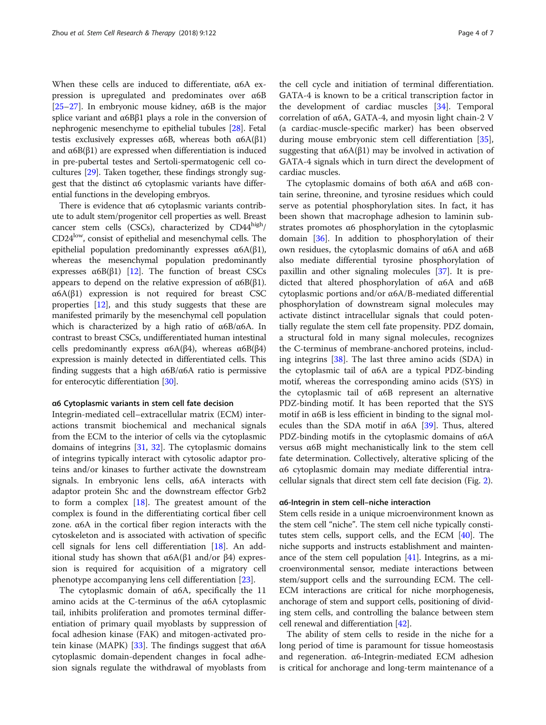When these cells are induced to differentiate, α6A expression is upregulated and predominates over α6B [ $25-27$  $25-27$  $25-27$ ]. In embryonic mouse kidney,  $\alpha$  6B is the major splice variant and α6Bβ1 plays a role in the conversion of nephrogenic mesenchyme to epithelial tubules [[28](#page-6-0)]. Fetal testis exclusively expresses  $\alpha$ 6B, whereas both  $\alpha$ 6A(β1) and  $\alpha$ 6B( $\beta$ 1) are expressed when differentiation is induced in pre-pubertal testes and Sertoli-spermatogenic cell cocultures [\[29\]](#page-6-0). Taken together, these findings strongly suggest that the distinct α6 cytoplasmic variants have differential functions in the developing embryos.

There is evidence that α6 cytoplasmic variants contribute to adult stem/progenitor cell properties as well. Breast cancer stem cells (CSCs), characterized by  $CD44<sup>high</sup>/$ CD24low, consist of epithelial and mesenchymal cells. The epithelial population predominantly expresses α6A(β1), whereas the mesenchymal population predominantly expresses  $\alpha$ 6B(β1) [\[12](#page-5-0)]. The function of breast CSCs appears to depend on the relative expression of  $α6B(β1)$ .  $\alpha$ 6A( $\beta$ 1) expression is not required for breast CSC properties [[12](#page-5-0)], and this study suggests that these are manifested primarily by the mesenchymal cell population which is characterized by a high ratio of  $\alpha$ 6B/ $\alpha$ 6A. In contrast to breast CSCs, undifferentiated human intestinal cells predominantly express  $α6A(β4)$ , whereas  $α6B(β4)$ expression is mainly detected in differentiated cells. This finding suggests that a high α6B/α6A ratio is permissive for enterocytic differentiation [[30](#page-6-0)].

#### α6 Cytoplasmic variants in stem cell fate decision

Integrin-mediated cell–extracellular matrix (ECM) interactions transmit biochemical and mechanical signals from the ECM to the interior of cells via the cytoplasmic domains of integrins [\[31](#page-6-0), [32\]](#page-6-0). The cytoplasmic domains of integrins typically interact with cytosolic adaptor proteins and/or kinases to further activate the downstream signals. In embryonic lens cells, α6A interacts with adaptor protein Shc and the downstream effector Grb2 to form a complex  $[18]$  $[18]$ . The greatest amount of the complex is found in the differentiating cortical fiber cell zone. α6A in the cortical fiber region interacts with the cytoskeleton and is associated with activation of specific cell signals for lens cell differentiation [[18](#page-5-0)]. An additional study has shown that  $\alpha$ 6A(β1 and/or β4) expression is required for acquisition of a migratory cell phenotype accompanying lens cell differentiation [[23](#page-6-0)].

The cytoplasmic domain of α6A, specifically the 11 amino acids at the C-terminus of the α6A cytoplasmic tail, inhibits proliferation and promotes terminal differentiation of primary quail myoblasts by suppression of focal adhesion kinase (FAK) and mitogen-activated pro-tein kinase (MAPK) [\[33\]](#page-6-0). The findings suggest that  $α6A$ cytoplasmic domain-dependent changes in focal adhesion signals regulate the withdrawal of myoblasts from the cell cycle and initiation of terminal differentiation. GATA-4 is known to be a critical transcription factor in the development of cardiac muscles [[34](#page-6-0)]. Temporal correlation of α6A, GATA-4, and myosin light chain-2 V (a cardiac-muscle-specific marker) has been observed during mouse embryonic stem cell differentiation [\[35](#page-6-0)], suggesting that  $\alpha 6A(\beta 1)$  may be involved in activation of GATA-4 signals which in turn direct the development of cardiac muscles.

The cytoplasmic domains of both α6A and α6B contain serine, threonine, and tyrosine residues which could serve as potential phosphorylation sites. In fact, it has been shown that macrophage adhesion to laminin substrates promotes α6 phosphorylation in the cytoplasmic domain [[36](#page-6-0)]. In addition to phosphorylation of their own residues, the cytoplasmic domains of α6A and α6B also mediate differential tyrosine phosphorylation of paxillin and other signaling molecules [[37\]](#page-6-0). It is predicted that altered phosphorylation of α6A and α6B cytoplasmic portions and/or α6A/B-mediated differential phosphorylation of downstream signal molecules may activate distinct intracellular signals that could potentially regulate the stem cell fate propensity. PDZ domain, a structural fold in many signal molecules, recognizes the C-terminus of membrane-anchored proteins, including integrins [\[38](#page-6-0)]. The last three amino acids (SDA) in the cytoplasmic tail of α6A are a typical PDZ-binding motif, whereas the corresponding amino acids (SYS) in the cytoplasmic tail of α6B represent an alternative PDZ-binding motif. It has been reported that the SYS motif in α6B is less efficient in binding to the signal molecules than the SDA motif in  $\alpha$ 6A [[39\]](#page-6-0). Thus, altered PDZ-binding motifs in the cytoplasmic domains of α6A versus α6B might mechanistically link to the stem cell fate determination. Collectively, alterative splicing of the α6 cytoplasmic domain may mediate differential intracellular signals that direct stem cell fate decision (Fig. [2](#page-4-0)).

#### α6-Integrin in stem cell–niche interaction

Stem cells reside in a unique microenvironment known as the stem cell "niche". The stem cell niche typically constitutes stem cells, support cells, and the ECM [\[40\]](#page-6-0). The niche supports and instructs establishment and maintenance of the stem cell population  $[41]$  $[41]$  $[41]$ . Integrins, as a microenvironmental sensor, mediate interactions between stem/support cells and the surrounding ECM. The cell-ECM interactions are critical for niche morphogenesis, anchorage of stem and support cells, positioning of dividing stem cells, and controlling the balance between stem cell renewal and differentiation [\[42\]](#page-6-0).

The ability of stem cells to reside in the niche for a long period of time is paramount for tissue homeostasis and regeneration. α6-Integrin-mediated ECM adhesion is critical for anchorage and long-term maintenance of a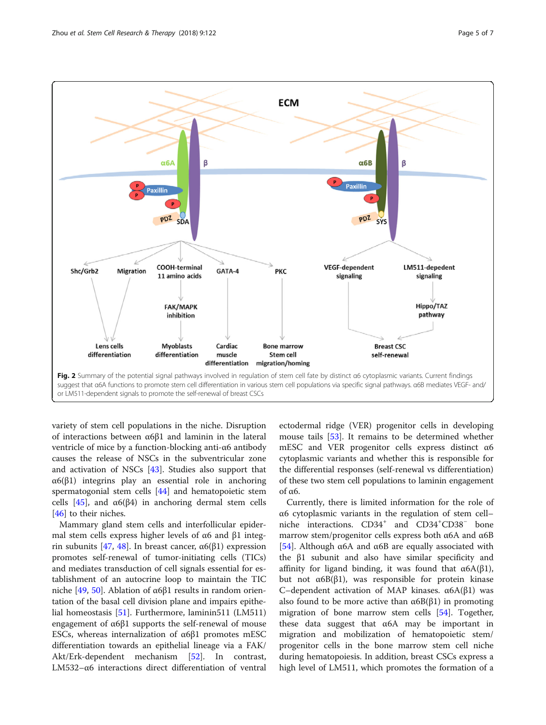<span id="page-4-0"></span>

variety of stem cell populations in the niche. Disruption of interactions between α6β1 and laminin in the lateral ventricle of mice by a function-blocking anti-α6 antibody causes the release of NSCs in the subventricular zone and activation of NSCs [\[43\]](#page-6-0). Studies also support that α6(β1) integrins play an essential role in anchoring spermatogonial stem cells [\[44](#page-6-0)] and hematopoietic stem cells [[45\]](#page-6-0), and  $\alpha$ 6(β4) in anchoring dermal stem cells [[46\]](#page-6-0) to their niches.

Mammary gland stem cells and interfollicular epidermal stem cells express higher levels of α6 and β1 integ-rin subunits [[47](#page-6-0), [48\]](#page-6-0). In breast cancer,  $α6(β1)$  expression promotes self-renewal of tumor-initiating cells (TICs) and mediates transduction of cell signals essential for establishment of an autocrine loop to maintain the TIC niche [[49,](#page-6-0) [50\]](#page-6-0). Ablation of α6β1 results in random orientation of the basal cell division plane and impairs epithelial homeostasis [[51\]](#page-6-0). Furthermore, laminin511 (LM511) engagement of α6β1 supports the self-renewal of mouse ESCs, whereas internalization of α6β1 promotes mESC differentiation towards an epithelial lineage via a FAK/ Akt/Erk-dependent mechanism [\[52](#page-6-0)]. In contrast, LM532–α6 interactions direct differentiation of ventral

ectodermal ridge (VER) progenitor cells in developing mouse tails [\[53\]](#page-6-0). It remains to be determined whether mESC and VER progenitor cells express distinct α6 cytoplasmic variants and whether this is responsible for the differential responses (self-renewal vs differentiation) of these two stem cell populations to laminin engagement of α6.

Currently, there is limited information for the role of α6 cytoplasmic variants in the regulation of stem cell– niche interactions. CD34<sup>+</sup> and CD34<sup>+</sup>CD38<sup>-</sup> bone marrow stem/progenitor cells express both α6A and α6B [[54\]](#page-6-0). Although  $\alpha$ 6A and  $\alpha$ 6B are equally associated with the β1 subunit and also have similar specificity and affinity for ligand binding, it was found that  $\alpha 6A(\beta 1)$ , but not  $α6B(β1)$ , was responsible for protein kinase C–dependent activation of MAP kinases. α6A(β1) was also found to be more active than  $\alpha$ 6B( $\beta$ 1) in promoting migration of bone marrow stem cells [\[54\]](#page-6-0). Together, these data suggest that α6A may be important in migration and mobilization of hematopoietic stem/ progenitor cells in the bone marrow stem cell niche during hematopoiesis. In addition, breast CSCs express a high level of LM511, which promotes the formation of a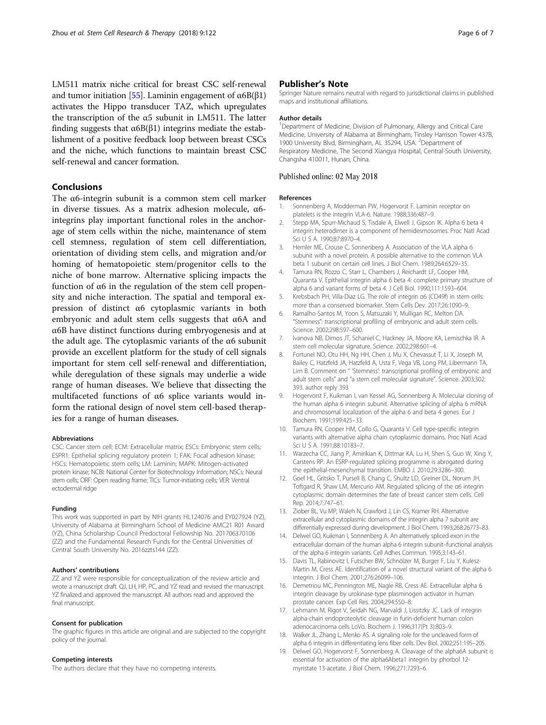<span id="page-5-0"></span>LM511 matrix niche critical for breast CSC self-renewal and tumor initiation [\[55](#page-6-0)]. Laminin engagement of  $α6B(β1)$ activates the Hippo transducer TAZ, which upregulates the transcription of the  $α5$  subunit in LM511. The latter finding suggests that α6B(β1) integrins mediate the establishment of a positive feedback loop between breast CSCs and the niche, which functions to maintain breast CSC self-renewal and cancer formation.

## Conclusions

The α6-integrin subunit is a common stem cell marker in diverse tissues. As a matrix adhesion molecule, α6 integrins play important functional roles in the anchorage of stem cells within the niche, maintenance of stem cell stemness, regulation of stem cell differentiation, orientation of dividing stem cells, and migration and/or homing of hematopoietic stem/progenitor cells to the niche of bone marrow. Alternative splicing impacts the function of α6 in the regulation of the stem cell propensity and niche interaction. The spatial and temporal expression of distinct α6 cytoplasmic variants in both embryonic and adult stem cells suggests that α6A and α6B have distinct functions during embryogenesis and at the adult age. The cytoplasmic variants of the α6 subunit provide an excellent platform for the study of cell signals important for stem cell self-renewal and differentiation, while deregulation of these signals may underlie a wide range of human diseases. We believe that dissecting the multifaceted functions of α6 splice variants would inform the rational design of novel stem cell-based therapies for a range of human diseases.

#### Abbreviations

CSC: Cancer stem cell; ECM: Extracellular matrix; ESCs: Embryonic stem cells; ESPR1: Epithelial splicing regulatory protein 1; FAK: Focal adhesion kinase; HSCs: Hematopoietic stem cells; LM: Laminin; MAPK: Mitogen-activated protein kinase; NCBI: National Center for Biotechnology Information; NSCs: Neural stem cells; ORF: Open reading frame; TICs: Tumor-initiating cells; VER: Ventral ectodermal ridge

#### Funding

This work was supported in part by NIH grants HL124076 and EY027924 (YZ), University of Alabama at Birmingham School of Medicine AMC21 R01 Award (YZ), China Scholarship Council Predoctoral Fellowship No. 201706370106 (ZZ) and the Fundamental Research Funds for the Central Universities of Central South University No. 2016zzts144 (ZZ).

#### Authors' contributions

ZZ and YZ were responsible for conceptualization of the review article and wrote a manuscript draft. QJ, LH, HP, PC, and YZ read and revised the manuscript. YZ finalized and approved the manuscript. All authors read and approved the final manuscript.

#### Consent for publication

The graphic figures in this article are original and are subjected to the copyright policy of the journal.

#### Competing interests

The authors declare that they have no competing interests.

### Publisher's Note

Springer Nature remains neutral with regard to jurisdictional claims in published maps and institutional affiliations.

#### Author details

<sup>1</sup>Department of Medicine, Division of Pulmonary, Allergy and Critical Care Medicine, University of Alabama at Birmingham, Tinsley Harrison Tower 437B, 1900 University Blvd, Birmingham, AL 35294, USA. <sup>2</sup> Department of Respiratory Medicine, The Second Xiangya Hospital, Central-South University, Changsha 410011, Hunan, China.

#### Published online: 02 May 2018

#### References

- 1. Sonnenberg A, Modderman PW, Hogervorst F. Laminin receptor on platelets is the integrin VLA-6. Nature. 1988;336:487–9.
- 2. Stepp MA, Spurr-Michaud S, Tisdale A, Elwell J, Gipson IK. Alpha 6 beta 4 integrin heterodimer is a component of hemidesmosomes. Proc Natl Acad Sci U S A. 1990;87:8970–4.
- 3. Hemler ME, Crouse C, Sonnenberg A. Association of the VLA alpha 6 subunit with a novel protein. A possible alternative to the common VLA beta 1 subunit on certain cell lines. J Biol Chem. 1989;264:6529–35.
- 4. Tamura RN, Rozzo C, Starr L, Chambers J, Reichardt LF, Cooper HM, Quaranta V. Epithelial integrin alpha 6 beta 4: complete primary structure of alpha 6 and variant forms of beta 4. J Cell Biol. 1990;111:1593–604.
- 5. Krebsbach PH, Villa-Diaz LG. The role of integrin α6 (CD49f) in stem cells: more than a conserved biomarker. Stem Cells Dev. 2017;26:1090–9.
- 6. Ramalho-Santos M, Yoon S, Matsuzaki Y, Mulligan RC, Melton DA. "Stemness": transcriptional profiling of embryonic and adult stem cells. Science. 2002;298:597–600.
- 7. Ivanova NB, Dimos JT, Schaniel C, Hackney JA, Moore KA, Lemischka IR. A stem cell molecular signature. Science. 2002;298:601–4.
- 8. Fortunel NO, Otu HH, Ng HH, Chen J, Mu X, Chevassut T, Li X, Joseph M, Bailey C, Hatzfeld JA, Hatzfeld A, Usta F, Vega VB, Long PM, Libermann TA, Lim B. Comment on " 'Stemness': transcriptional profiling of embryonic and adult stem cells" and "a stem cell molecular signature". Science. 2003;302: 393. author reply 393
- 9. Hogervorst F, Kuikman I, van Kessel AG, Sonnenberg A. Molecular cloning of the human alpha 6 integrin subunit. Alternative splicing of alpha 6 mRNA and chromosomal localization of the alpha 6 and beta 4 genes. Eur J Biochem. 1991;199:425–33.
- 10. Tamura RN, Cooper HM, Collo G, Quaranta V. Cell type-specific integrin variants with alternative alpha chain cytoplasmic domains. Proc Natl Acad Sci U S A. 1991;88:10183–7.
- 11. Warzecha CC, Jiang P, Amirikian K, Dittmar KA, Lu H, Shen S, Guo W, Xing Y, Carstens RP. An ESRP-regulated splicing programme is abrogated during the epithelial-mesenchymal transition. EMBO J. 2010;29:3286–300.
- 12. Goel HL, Gritsko T, Pursell B, Chang C, Shultz LD, Greiner DL, Norum JH, Toftgard R, Shaw LM, Mercurio AM. Regulated splicing of the α6 integrin cytoplasmic domain determines the fate of breast cancer stem cells. Cell Rep. 2014;7:747–61.
- 13. Ziober BL, Vu MP, Waleh N, Crawford J, Lin CS, Kramer RH. Alternative extracellular and cytoplasmic domains of the integrin alpha 7 subunit are differentially expressed during development. J Biol Chem. 1993;268:26773–83.
- 14. Delwel GO, Kuikman I, Sonnenberg A. An alternatively spliced exon in the extracellular domain of the human alpha 6 integrin subunit–functional analysis of the alpha 6 integrin variants. Cell Adhes Commun. 1995;3:143–61.
- 15. Davis TL, Rabinovitz I, Futscher BW, Schnölzer M, Burger F, Liu Y, Kulesz-Martin M, Cress AE. Identification of a novel structural variant of the alpha 6 integrin. J Biol Chem. 2001;276:26099–106.
- 16. Demetriou MC, Pennington ME, Nagle RB, Cress AE. Extracellular alpha 6 integrin cleavage by urokinase-type plasminogen activator in human prostate cancer. Exp Cell Res. 2004;294:550–8.
- 17. Lehmann M, Rigot V, Seidah NG, Marvaldi J, Lissitzky JC. Lack of integrin alpha-chain endoproteolytic cleavage in furin-deficient human colon adenocarcinoma cells LoVo. Biochem J. 1996;317(Pt 3):803–9.
- 18. Walker JL, Zhang L, Menko AS. A signaling role for the uncleaved form of alpha 6 integrin in differentiating lens fiber cells. Dev Biol. 2002;251:195–205.
- 19. Delwel GO, Hogervorst F, Sonnenberg A. Cleavage of the alpha6A subunit is essential for activation of the alpha6Abeta1 integrin by phorbol 12 myristate 13-acetate. J Biol Chem. 1996;271:7293–6.